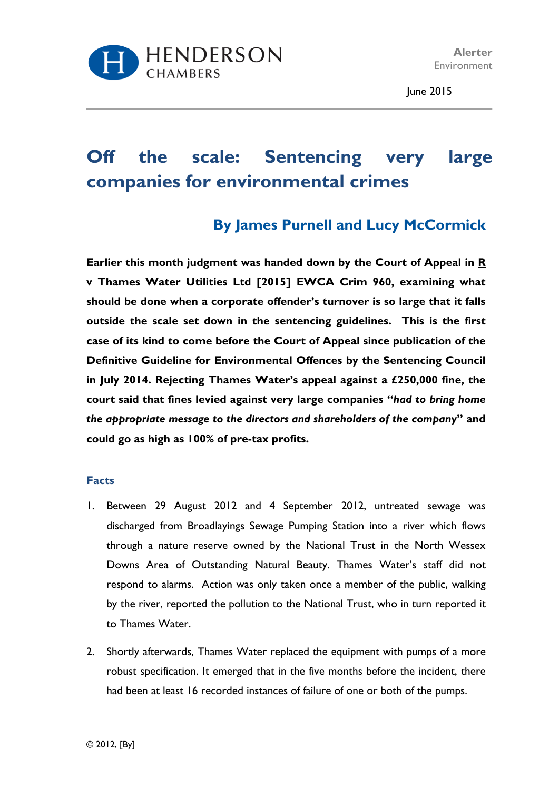

June 2015

# **Off the scale: Sentencing very large companies for environmental crimes**

# **By James Purnell and Lucy McCormick**

**Earlier this month judgment was handed down by the Court of Appeal in R v Thames Water Utilities Ltd [2015] EWCA Crim 960, examining what should be done when a corporate offender's turnover is so large that it falls outside the scale set down in the sentencing guidelines. This is the first case of its kind to come before the Court of Appeal since publication of the Definitive Guideline for Environmental Offences by the Sentencing Council in July 2014. Rejecting Thames Water's appeal against a £250,000 fine, the court said that fines levied against very large companies "***had to bring home the appropriate message to the directors and shareholders of the company***" and could go as high as 100% of pre-tax profits.** 

#### **Facts**

- 1. Between 29 August 2012 and 4 September 2012, untreated sewage was discharged from Broadlayings Sewage Pumping Station into a river which flows through a nature reserve owned by the National Trust in the North Wessex Downs Area of Outstanding Natural Beauty. Thames Water's staff did not respond to alarms. Action was only taken once a member of the public, walking by the river, reported the pollution to the National Trust, who in turn reported it to Thames Water.
- 2. Shortly afterwards, Thames Water replaced the equipment with pumps of a more robust specification. It emerged that in the five months before the incident, there had been at least 16 recorded instances of failure of one or both of the pumps.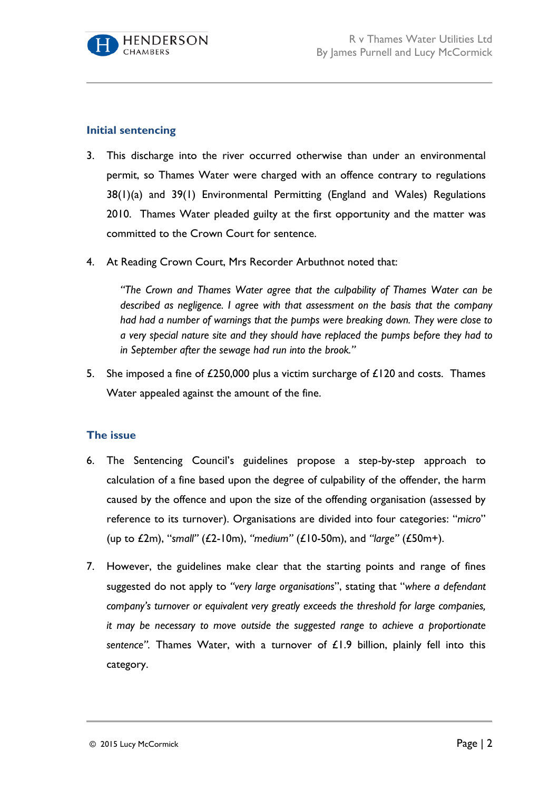

## **Initial sentencing**

- 3. This discharge into the river occurred otherwise than under an environmental permit, so Thames Water were charged with an offence contrary to regulations 38(1)(a) and 39(1) Environmental Permitting (England and Wales) Regulations 2010. Thames Water pleaded guilty at the first opportunity and the matter was committed to the Crown Court for sentence.
- 4. At Reading Crown Court, Mrs Recorder Arbuthnot noted that:

*"The Crown and Thames Water agree that the culpability of Thames Water can be described as negligence. I agree with that assessment on the basis that the company had had a number of warnings that the pumps were breaking down. They were close to a very special nature site and they should have replaced the pumps before they had to in September after the sewage had run into the brook."*

5. She imposed a fine of £250,000 plus a victim surcharge of £120 and costs. Thames Water appealed against the amount of the fine.

### **The issue**

- 6. The Sentencing Council's guidelines propose a step-by-step approach to calculation of a fine based upon the degree of culpability of the offender, the harm caused by the offence and upon the size of the offending organisation (assessed by reference to its turnover). Organisations are divided into four categories: "*micro*" (up to £2m), "*small"* (£2-10m), *"medium"* (£10-50m), and *"large"* (£50m+).
- 7. However, the guidelines make clear that the starting points and range of fines suggested do not apply to *"very large organisations*", stating that "*where a defendant company's turnover or equivalent very greatly exceeds the threshold for large companies, it may be necessary to move outside the suggested range to achieve a proportionate sentence".* Thames Water, with a turnover of £1.9 billion, plainly fell into this category.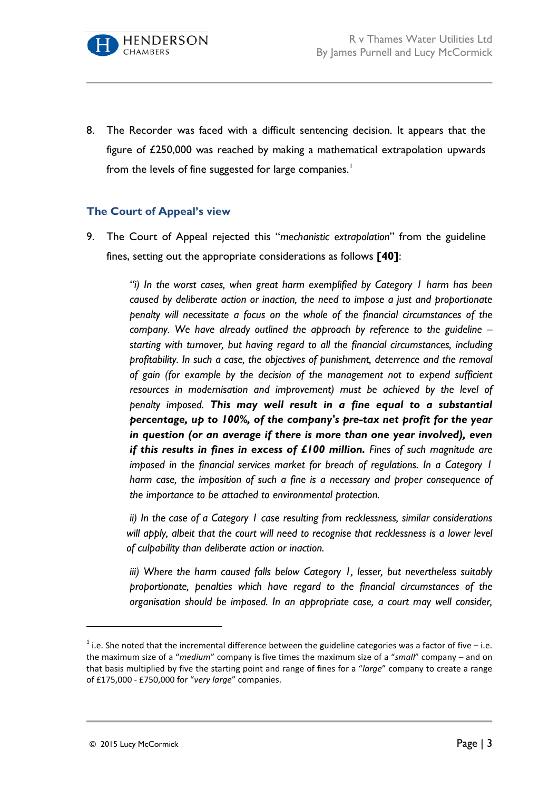

8. The Recorder was faced with a difficult sentencing decision. It appears that the figure of £250,000 was reached by making a mathematical extrapolation upwards from the levels of fine suggested for large companies.<sup>[1](#page-2-0)</sup>

### **The Court of Appeal's view**

9. The Court of Appeal rejected this "*mechanistic extrapolation*" from the guideline fines, setting out the appropriate considerations as follows **[40]**:

> *"i) In the worst cases, when great harm exemplified by Category 1 harm has been caused by deliberate action or inaction, the need to impose a just and proportionate penalty will necessitate a focus on the whole of the financial circumstances of the company. We have already outlined the approach by reference to the guideline – starting with turnover, but having regard to all the financial circumstances, including profitability. In such a case, the objectives of punishment, deterrence and the removal of gain (for example by the decision of the management not to expend sufficient resources in modernisation and improvement) must be achieved by the level of penalty imposed. This may well result in a fine equal to a substantial percentage, up to 100%, of the company's pre-tax net profit for the year in question (or an average if there is more than one year involved), even if this results in fines in excess of £100 million. Fines of such magnitude are imposed in the financial services market for breach of regulations. In a Category 1 harm case, the imposition of such a fine is a necessary and proper consequence of the importance to be attached to environmental protection.*

> *ii) In the case of a Category 1 case resulting from recklessness, similar considerations*  will apply, albeit that the court will need to recognise that recklessness is a lower level *of culpability than deliberate action or inaction.*

> *iii) Where the harm caused falls below Category 1, lesser, but nevertheless suitably proportionate, penalties which have regard to the financial circumstances of the organisation should be imposed. In an appropriate case, a court may well consider,*

 $\overline{a}$ 

<span id="page-2-0"></span> $1$  i.e. She noted that the incremental difference between the guideline categories was a factor of five – i.e. the maximum size of a "*medium*" company is five times the maximum size of a "*small*" company – and on that basis multiplied by five the starting point and range of fines for a "*large*" company to create a range of £175,000 - £750,000 for "*very large*" companies.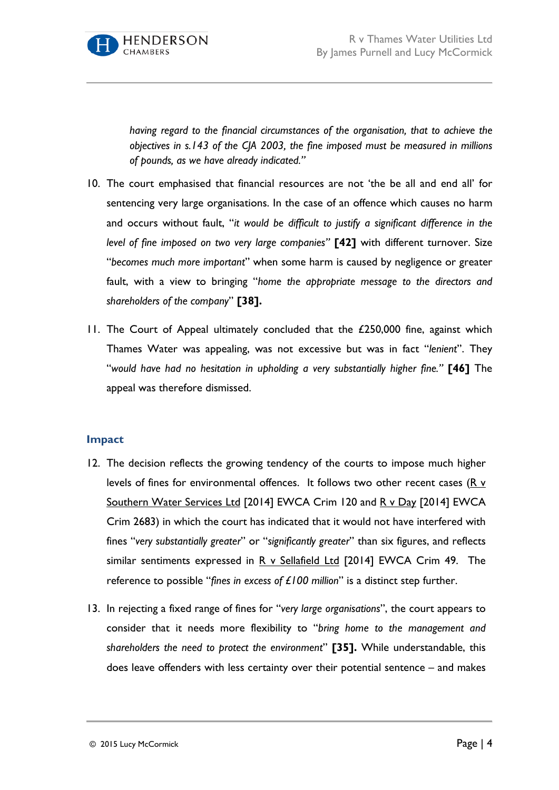

*having regard to the financial circumstances of the organisation, that to achieve the objectives in s.143 of the CJA 2003, the fine imposed must be measured in millions of pounds, as we have already indicated."*

- 10. The court emphasised that financial resources are not 'the be all and end all' for sentencing very large organisations. In the case of an offence which causes no harm and occurs without fault, "*it would be difficult to justify a significant difference in the level of fine imposed on two very large companies"* **[42]** with different turnover. Size "*becomes much more important*" when some harm is caused by negligence or greater fault, with a view to bringing "*home the appropriate message to the directors and shareholders of the company*" **[38].**
- 11. The Court of Appeal ultimately concluded that the £250,000 fine, against which Thames Water was appealing, was not excessive but was in fact "*lenient*". They "*would have had no hesitation in upholding a very substantially higher fine."* **[46]** The appeal was therefore dismissed.

#### **Impact**

- 12. The decision reflects the growing tendency of the courts to impose much higher levels of fines for environmental offences. It follows two other recent cases (R v Southern Water Services Ltd [2014] EWCA Crim 120 and R v Day [2014] EWCA Crim 2683) in which the court has indicated that it would not have interfered with fines "*very substantially greater*" or "*significantly greater*" than six figures, and reflects similar sentiments expressed in  $R$  v Sellafield Ltd [2014] EWCA Crim 49. The reference to possible "*fines in excess of £100 million*" is a distinct step further.
- 13. In rejecting a fixed range of fines for "*very large organisations*", the court appears to consider that it needs more flexibility to "*bring home to the management and shareholders the need to protect the environment*" **[35].** While understandable, this does leave offenders with less certainty over their potential sentence – and makes